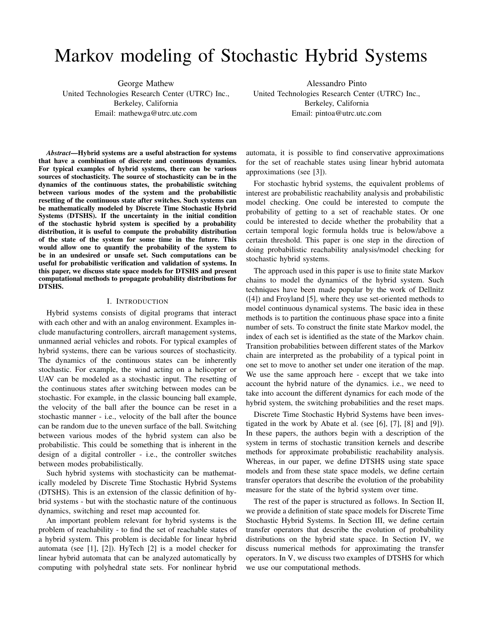# Markov modeling of Stochastic Hybrid Systems

George Mathew United Technologies Research Center (UTRC) Inc., Berkeley, California Email: mathewga@utrc.utc.com

Alessandro Pinto United Technologies Research Center (UTRC) Inc., Berkeley, California Email: pintoa@utrc.utc.com

*Abstract*—Hybrid systems are a useful abstraction for systems that have a combination of discrete and continuous dynamics. For typical examples of hybrid systems, there can be various sources of stochasticity. The source of stochasticity can be in the dynamics of the continuous states, the probabilistic switching between various modes of the system and the probabilistic resetting of the continuous state after switches. Such systems can be mathematically modeled by Discrete Time Stochastic Hybrid Systems (DTSHS). If the uncertainty in the initial condition of the stochastic hybrid system is specified by a probability distribution, it is useful to compute the probability distribution of the state of the system for some time in the future. This would allow one to quantify the probability of the system to be in an undesired or unsafe set. Such computations can be useful for probabilistic verification and validation of systems. In this paper, we discuss state space models for DTSHS and present computational methods to propagate probability distributions for DTSHS.

### I. INTRODUCTION

Hybrid systems consists of digital programs that interact with each other and with an analog environment. Examples include manufacturing controllers, aircraft management systems, unmanned aerial vehicles and robots. For typical examples of hybrid systems, there can be various sources of stochasticity. The dynamics of the continuous states can be inherently stochastic. For example, the wind acting on a helicopter or UAV can be modeled as a stochastic input. The resetting of the continuous states after switching between modes can be stochastic. For example, in the classic bouncing ball example, the velocity of the ball after the bounce can be reset in a stochastic manner - i.e., velocity of the ball after the bounce can be random due to the uneven surface of the ball. Switching between various modes of the hybrid system can also be probabilistic. This could be something that is inherent in the design of a digital controller - i.e., the controller switches between modes probabilistically.

Such hybrid systems with stochasticity can be mathematically modeled by Discrete Time Stochastic Hybrid Systems (DTSHS). This is an extension of the classic definition of hybrid systems - but with the stochastic nature of the continuous dynamics, switching and reset map accounted for.

An important problem relevant for hybrid systems is the problem of reachability - to find the set of reachable states of a hybrid system. This problem is decidable for linear hybrid automata (see [1], [2]). HyTech [2] is a model checker for linear hybrid automata that can be analyzed automatically by computing with polyhedral state sets. For nonlinear hybrid automata, it is possible to find conservative approximations for the set of reachable states using linear hybrid automata approximations (see [3]).

For stochastic hybrid systems, the equivalent problems of interest are probabilistic reachability analysis and probabilistic model checking. One could be interested to compute the probability of getting to a set of reachable states. Or one could be interested to decide whether the probability that a certain temporal logic formula holds true is below/above a certain threshold. This paper is one step in the direction of doing probabilistic reachability analysis/model checking for stochastic hybrid systems.

The approach used in this paper is use to finite state Markov chains to model the dynamics of the hybrid system. Such techniques have been made popular by the work of Dellnitz ([4]) and Froyland [5], where they use set-oriented methods to model continuous dynamical systems. The basic idea in these methods is to partition the continuous phase space into a finite number of sets. To construct the finite state Markov model, the index of each set is identified as the state of the Markov chain. Transition probabilities between different states of the Markov chain are interpreted as the probability of a typical point in one set to move to another set under one iteration of the map. We use the same approach here - except that we take into account the hybrid nature of the dynamics. i.e., we need to take into account the different dynamics for each mode of the hybrid system, the switching probabilities and the reset maps.

Discrete Time Stochastic Hybrid Systems have been investigated in the work by Abate et al. (see [6], [7], [8] and [9]). In these papers, the authors begin with a description of the system in terms of stochastic transition kernels and describe methods for approximate probabilistic reachability analysis. Whereas, in our paper, we define DTSHS using state space models and from these state space models, we define certain transfer operators that describe the evolution of the probability measure for the state of the hybrid system over time.

The rest of the paper is structured as follows. In Section II, we provide a definition of state space models for Discrete Time Stochastic Hybrid Systems. In Section III, we define certain transfer operators that describe the evolution of probability distributions on the hybrid state space. In Section IV, we discuss numerical methods for approximating the transfer operators. In V, we discuss two examples of DTSHS for which we use our computational methods.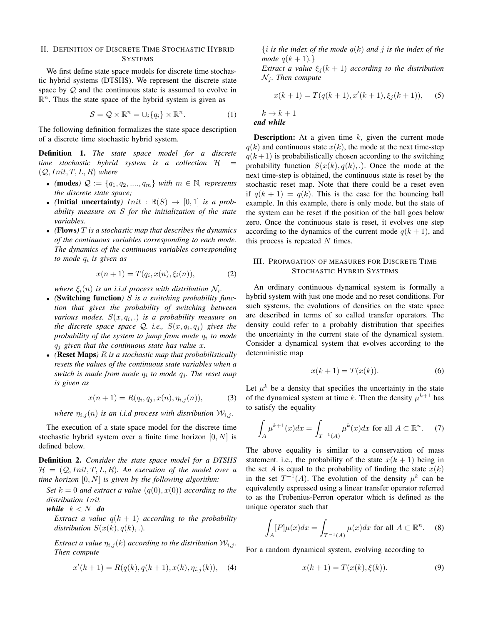## II. DEFINITION OF DISCRETE TIME STOCHASTIC HYBRID **SYSTEMS**

We first define state space models for discrete time stochastic hybrid systems (DTSHS). We represent the discrete state space by  $Q$  and the continuous state is assumed to evolve in  $\mathbb{R}^n$ . Thus the state space of the hybrid system is given as

$$
S = \mathcal{Q} \times \mathbb{R}^n = \cup_i \{q_i\} \times \mathbb{R}^n.
$$
 (1)

The following definition formalizes the state space description of a discrete time stochastic hybrid system.

Definition 1. *The state space model for a discrete time stochastic hybrid system is a collection* H =  $(Q,Init, T, L, R)$  *where* 

- (modes)  $\mathcal{Q} := \{q_1, q_2, ..., q_m\}$  *with*  $m \in \mathbb{N}$ *, represents the discrete state space;*
- *(Initial uncertainty)*  $Init : \mathbb{B}(S) \rightarrow [0, 1]$  *is a probability measure on* S *for the initialization of the state variables.*
- *(*Flows*)* T *is a stochastic map that describes the dynamics of the continuous variables corresponding to each mode. The dynamics of the continuous variables corresponding to mode* q<sup>i</sup> *is given as*

$$
x(n + 1) = T(q_i, x(n), \xi_i(n)),
$$
 (2)

*where*  $\xi_i(n)$  *is an i.i.d process with distribution*  $\mathcal{N}_i$ *.* 

- *(*Switching function*)* S *is a switching probability function that gives the probability of switching between various modes.* S(x, q<sup>i</sup> , .) *is a probability measure on the discrete space space*  $\mathcal{Q}$ *. i.e.,*  $S(x, q_i, q_j)$  *gives the probability of the system to jump from mode* q<sup>i</sup> *to mode* q<sup>j</sup> *given that the continuous state has value* x*.*
- *(*Reset Maps*)* R *is a stochastic map that probabilistically resets the values of the continuous state variables when a switch is made from mode*  $q_i$  to mode  $q_j$ . The reset map *is given as*

$$
x(n+1) = R(q_i, q_j, x(n), \eta_{i,j}(n)),
$$
 (3)

*where*  $\eta_{i,j}(n)$  *is an i.i.d process with distribution*  $W_{i,j}$ *.* 

The execution of a state space model for the discrete time stochastic hybrid system over a finite time horizon  $[0, N]$  is defined below.

Definition 2. *Consider the state space model for a DTSHS*  $\mathcal{H} = (\mathcal{Q},Init, T, L, R)$ . An execution of the model over a *time horizon* [0, N] *is given by the following algorithm:*

*Set*  $k = 0$  *and extract a value*  $(q(0), x(0))$  *according to the distribution* Init

*while*  $k < N$  *do* 

*Extract a value*  $q(k + 1)$  *according to the probability distribution*  $S(x(k), q(k), ...)$ .

*Extract a value*  $\eta_{i,j}(k)$  *according to the distribution*  $W_{i,j}$ *. Then compute*

$$
x'(k+1) = R(q(k), q(k+1), x(k), \eta_{i,j}(k)), \quad (4)
$$

 $\{i$  *is the index of the mode*  $q(k)$  *and*  $i$  *is the index of the mode*  $q(k + 1)$ *.*}

*Extract a value*  $\xi_i(k+1)$  *according to the distribution*  $\mathcal{N}_j$ *. Then compute* 

$$
x(k+1) = T(q(k+1), x'(k+1), \xi_j(k+1)),
$$
 (5)

 $k \to k+1$ *end while*

**Description:** At a given time  $k$ , given the current mode  $q(k)$  and continuous state  $x(k)$ , the mode at the next time-step  $q(k+1)$  is probabilistically chosen according to the switching probability function  $S(x(k), q(k), ...)$ . Once the mode at the next time-step is obtained, the continuous state is reset by the stochastic reset map. Note that there could be a reset even if  $q(k + 1) = q(k)$ . This is the case for the bouncing ball example. In this example, there is only mode, but the state of the system can be reset if the position of the ball goes below zero. Once the continuous state is reset, it evolves one step according to the dynamics of the current mode  $q(k + 1)$ , and this process is repeated  $N$  times.

## III. PROPAGATION OF MEASURES FOR DISCRETE TIME STOCHASTIC HYBRID SYSTEMS

An ordinary continuous dynamical system is formally a hybrid system with just one mode and no reset conditions. For such systems, the evolutions of densities on the state space are described in terms of so called transfer operators. The density could refer to a probably distribution that specifies the uncertainty in the current state of the dynamical system. Consider a dynamical system that evolves according to the deterministic map

$$
x(k+1) = T(x(k)).\tag{6}
$$

Let  $\mu^k$  be a density that specifies the uncertainty in the state of the dynamical system at time k. Then the density  $\mu^{k+1}$  has to satisfy the equality

$$
\int_{A} \mu^{k+1}(x)dx = \int_{T^{-1}(A)} \mu^{k}(x)dx \text{ for all } A \subset \mathbb{R}^{n}.
$$
 (7)

The above equality is similar to a conservation of mass statement. i.e., the probability of the state  $x(k + 1)$  being in the set A is equal to the probability of finding the state  $x(k)$ in the set  $T^{-1}(A)$ . The evolution of the density  $\mu^k$  can be equivalently expressed using a linear transfer operator referred to as the Frobenius-Perron operator which is defined as the unique operator such that

$$
\int_{A} [P] \mu(x) dx = \int_{T^{-1}(A)} \mu(x) dx \text{ for all } A \subset \mathbb{R}^n. \quad (8)
$$

For a random dynamical system, evolving according to

$$
x(k+1) = T(x(k), \xi(k)).
$$
 (9)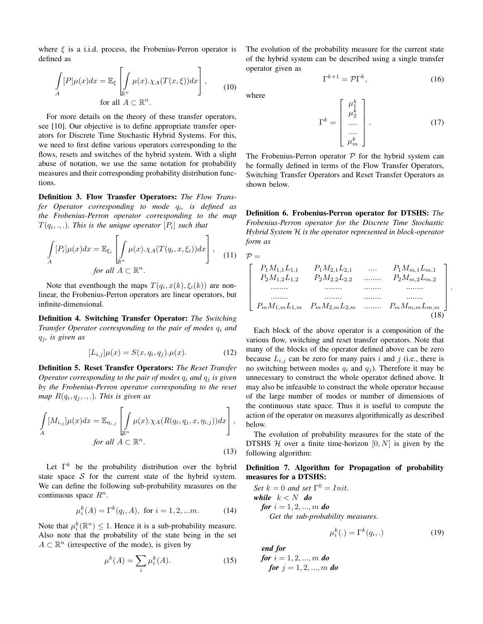where  $\xi$  is a i.i.d. process, the Frobenius-Perron operator is defined as

$$
\int_{A} [P] \mu(x) dx = \mathbb{E}_{\xi} \left[ \int_{\mathbb{R}^n} \mu(x) . \chi_A(T(x, \xi)) dx \right],
$$
\nfor all  $A \subset \mathbb{R}^n$ .

\n(10)

For more details on the theory of these transfer operators, see [10]. Our objective is to define appropriate transfer operators for Discrete Time Stochastic Hybrid Systems. For this, we need to first define various operators corresponding to the flows, resets and switches of the hybrid system. With a slight abuse of notation, we use the same notation for probability measures and their corresponding probability distribution functions.

Definition 3. Flow Transfer Operators: *The Flow Transfer Operator corresponding to mode* q<sup>i</sup> *, is defined as the Frobenius-Perron operator corresponding to the map*  $T(q_i, ., .)$ *. This is the unique operator*  $[P_i]$  *such that* 

$$
\int_{A} [P_i] \mu(x) dx = \mathbb{E}_{\xi_i} \left[ \int_{\mathbb{R}^n} \mu(x) . \chi_A(T(q_i, x, \xi_i)) dx \right],
$$
\nfor all  $A \subset \mathbb{R}^n$ .

\n(11)

Note that eventhough the maps  $T(q_i, x(k), \xi_i(k))$  are nonlinear, the Frobenius-Perron operators are linear operators, but infinite-dimensional.

Definition 4. Switching Transfer Operator: *The Switching Transfer Operator corresponding to the pair of modes*  $q_i$  *and*  $q_j$ , is given as

$$
[L_{i,j}]\mu(x) = S(x, q_i, q_j).\mu(x). \tag{12}
$$

Definition 5. Reset Transfer Operators: *The Reset Transfer Operator corresponding to the pair of modes*  $q_i$  *and*  $q_j$  *is given by the Frobenius-Perron operator corresponding to the reset*  $map R(q_i, q_j, ., .)$ *. This is given as* 

$$
\int_{A} [M_{i,j}]\mu(x)dx = \mathbb{E}_{\eta_{i,j}} \left[ \int_{\mathbb{R}^n} \mu(x) . \chi_A(R(q_i, q_j, x, \eta_{i,j}))dx \right],
$$
  
for all  $A \subset \mathbb{R}^n$ . (13)

Let  $\Gamma^k$  be the probability distribution over the hybrid state space  $S$  for the current state of the hybrid system. We can define the following sub-probability measures on the

$$
\mu_i^k(A) = \Gamma^k(q_i, A), \text{ for } i = 1, 2, \dots m. \tag{14}
$$

Note that  $\mu_i^k(\mathbb{R}^n) \leq 1$ . Hence it is a sub-probability measure. Also note that the probability of the state being in the set  $A \subset \mathbb{R}^n$  (irrespective of the mode), is given by

continuous space  $R^n$ .

$$
\mu^k(A) = \sum_i \mu_i^k(A). \tag{15}
$$

The evolution of the probability measure for the current state of the hybrid system can be described using a single transfer operator given as

$$
\Gamma^{k+1} = \mathcal{P}\Gamma^k,\tag{16}
$$

where

$$
\Gamma^{k} = \begin{bmatrix} \mu_1^{k} \\ \mu_2^{k} \\ \dots \\ \mu_m^{k} \end{bmatrix} .
$$
 (17)

The Frobenius-Perron operator  $P$  for the hybrid system can be formally defined in terms of the Flow Transfer Operators, Switching Transfer Operators and Reset Transfer Operators as shown below.

Definition 6. Frobenius-Perron operator for DTSHS: *The Frobenius-Perron operator for the Discrete Time Stochastic Hybrid System* H *is the operator represented in block-operator form as*

$$
\mathcal{P} = \n\begin{bmatrix}\nP_1 M_{1,1} L_{1,1} & P_1 M_{2,1} L_{2,1} & \dots & P_1 M_{m,1} L_{m,1} \\
P_2 M_{1,2} L_{1,2} & P_2 M_{2,2} L_{2,2} & \dots & P_2 M_{m,2} L_{m,2} \\
\vdots & \vdots & \vdots & \ddots & \vdots \\
P_m M_{1,m} L_{1,m} & P_m M_{2,m} L_{2,m} & \dots & P_m M_{m,m} L_{m,m}\n\end{bmatrix}
$$
\n(18)

.

Each block of the above operator is a composition of the various flow, switching and reset transfer operators. Note that many of the blocks of the operator defined above can be zero because  $L_{i,j}$  can be zero for many pairs i and j (i.e., there is no switching between modes  $q_i$  and  $q_j$ ). Therefore it may be unnecessary to construct the whole operator defined above. It may also be infeasible to construct the whole operator because of the large number of modes or number of dimensions of the continuous state space. Thus it is useful to compute the action of the operator on measures algorithmically as described below.

The evolution of probability measures for the state of the DTSHS  $H$  over a finite time-horizon  $[0, N]$  is given by the following algorithm:

## Definition 7. Algorithm for Propagation of probability measures for a DTSHS:

Set 
$$
k = 0
$$
 and set  $\Gamma^0 = Init$ .  
\nwhile  $k < N$  do  
\nfor  $i = 1, 2, ..., m$  do  
\nGet the sub-probability measures.

$$
\mu_i^k(.) = \Gamma^k(q_i,.) \tag{19}
$$

*end for for*  $i = 1, 2, ..., m$  *do for*  $j = 1, 2, ..., m$  *do*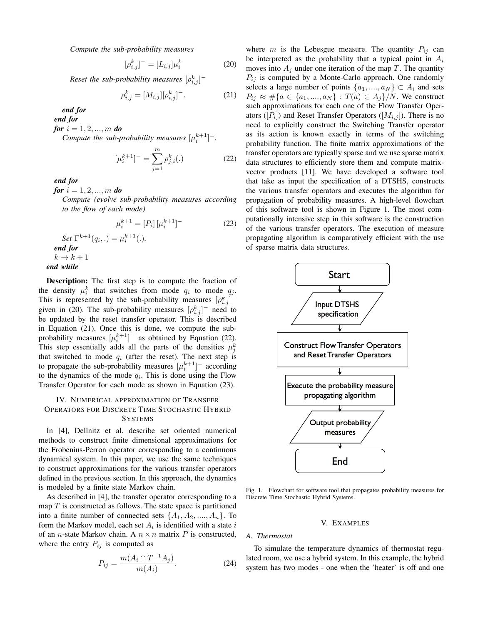*Compute the sub-probability measures*

$$
[\rho_{i,j}^k]^- = [L_{i,j}]\mu_i^k \tag{20}
$$

Reset the sub-probability measures  $[\rho^k_{i,j}]^-$ 

$$
\rho_{i,j}^k = [M_{i,j}][\rho_{i,j}^k]^{-}.
$$
 (21)

*end for*

*end for*

*for*  $i = 1, 2, ..., m$  *do* 

*Compute the sub-probability measures*  $[\mu_i^{k+1}]^-$ .

$$
[\mu_i^{k+1}]^- = \sum_{j=1}^m \rho_{j,i}^k(.)
$$
 (22)

*end for*

*for*  $i = 1, 2, ..., m$  *do* 

*Compute (evolve sub-probability measures according to the flow of each mode)*

$$
\mu_i^{k+1} = [P_i] [\mu_i^{k+1}]
$$
\n
$$
\text{Set } \Gamma^{k+1}(q_i,.) = \mu_i^{k+1}(.)
$$
\n
$$
\text{end for}
$$
\n
$$
k \to k+1
$$
\n
$$
\text{end while}
$$
\n(23)

Description: The first step is to compute the fraction of the density  $\mu_i^k$  that switches from mode  $q_i$  to mode  $q_j$ . This is represented by the sub-probability measures  $[\rho_{i,j}^k]$ <sup>-</sup> given in (20). The sub-probability measures  $[\rho_{i,j}^k]$ <sup>-</sup> need to be updated by the reset transfer operator. This is described in Equation (21). Once this is done, we compute the subprobability measures  $[\mu_i^{k+1}]^-$  as obtained by Equation (22). This step essentially adds all the parts of the densities  $\mu_j^k$ that switched to mode  $q_i$  (after the reset). The next step is to propagate the sub-probability measures  $[\mu_i^{k+1}]^-$  according to the dynamics of the mode  $q_i$ . This is done using the Flow Transfer Operator for each mode as shown in Equation (23).

## IV. NUMERICAL APPROXIMATION OF TRANSFER OPERATORS FOR DISCRETE TIME STOCHASTIC HYBRID **SYSTEMS**

In [4], Dellnitz et al. describe set oriented numerical methods to construct finite dimensional approximations for the Frobenius-Perron operator corresponding to a continuous dynamical system. In this paper, we use the same techniques to construct approximations for the various transfer operators defined in the previous section. In this approach, the dynamics is modeled by a finite state Markov chain.

As described in [4], the transfer operator corresponding to a map  $T$  is constructed as follows. The state space is partitioned into a finite number of connected sets  $\{A_1, A_2, ..., A_n\}$ . To form the Markov model, each set  $A_i$  is identified with a state i of an *n*-state Markov chain. A  $n \times n$  matrix P is constructed, where the entry  $P_{ij}$  is computed as

$$
P_{ij} = \frac{m(A_i \cap T^{-1}A_j)}{m(A_i)}.
$$
 (24)

where m is the Lebesgue measure. The quantity  $P_{ij}$  can be interpreted as the probability that a typical point in  $A_i$ moves into  $A_j$  under one iteration of the map T. The quantity  $P_{ij}$  is computed by a Monte-Carlo approach. One randomly selects a large number of points  $\{a_1, ..., a_N\} \subset A_i$  and sets  $P_{ij} \approx #{a \in \{a_1, ..., a_N\} : T(a) \in A_j\}/N$ . We construct such approximations for each one of the Flow Transfer Operators ( $[P_i]$ ) and Reset Transfer Operators ( $[M_{i,j}]$ ). There is no need to explicitly construct the Switching Transfer operator as its action is known exactly in terms of the switching probability function. The finite matrix approximations of the transfer operators are typically sparse and we use sparse matrix data structures to efficiently store them and compute matrixvector products [11]. We have developed a software tool that take as input the specification of a DTSHS, constructs the various transfer operators and executes the algorithm for propagation of probability measures. A high-level flowchart of this software tool is shown in Figure 1. The most computationally intensive step in this software is the construction of the various transfer operators. The execution of measure propagating algorithm is comparatively efficient with the use of sparse matrix data structures.



Fig. 1. Flowchart for software tool that propagates probability measures for Discrete Time Stochastic Hybrid Systems.

#### V. EXAMPLES

#### *A. Thermostat*

To simulate the temperature dynamics of thermostat regulated room, we use a hybrid system. In this example, the hybrid system has two modes - one when the 'heater' is off and one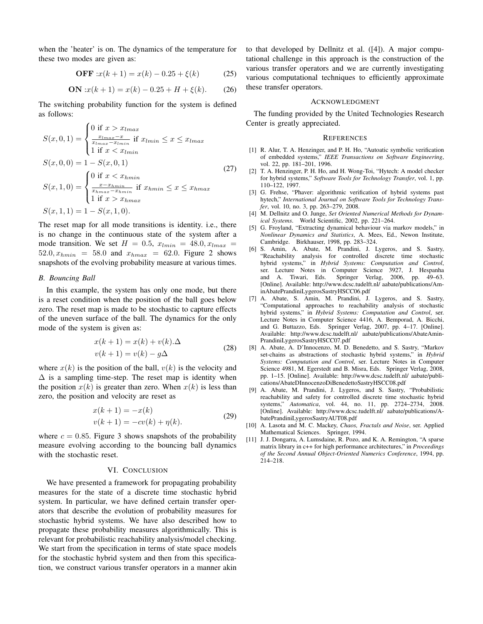when the 'heater' is on. The dynamics of the temperature for these two modes are given as:

**OFF** : 
$$
x(k + 1) = x(k) - 0.25 + \xi(k)
$$
 (25)

**ON** : 
$$
x(k+1) = x(k) - 0.25 + H + \xi(k)
$$
. (26)

The switching probability function for the system is defined as follows:

$$
S(x, 0, 1) = \begin{cases} 0 \text{ if } x > x_{lmax} \\ \frac{x_{lmax} - x}{x_{lmax} - x_{lmin}} \text{ if } x_{lmin} \le x \le x_{lmax} \\ 1 \text{ if } x < x_{lmin} \end{cases}
$$
  
\n
$$
S(x, 0, 0) = 1 - S(x, 0, 1) \tag{27}
$$
  
\n
$$
S(x, 1, 0) = \begin{cases} 0 \text{ if } x < x_{hmin} \\ \frac{x - x_{hmin}}{x_{hmin} - x_{hmin}} \text{ if } x_{hmin} \le x \le x_{hmax} \\ 1 \text{ if } x > x_{hmax} \end{cases}
$$
  
\n
$$
S(x, 1, 1) = 1 - S(x, 1, 0).
$$

The reset map for all mode transitions is identity. i.e., there is no change in the continuous state of the system after a mode transition. We set  $H = 0.5$ ,  $x_{lmin} = 48.0$ ,  $x_{lmax} =$  $52.0, x_{hmin} = 58.0$  and  $x_{hmax} = 62.0$ . Figure 2 shows snapshots of the evolving probability measure at various times.

#### *B. Bouncing Ball*

In this example, the system has only one mode, but there is a reset condition when the position of the ball goes below zero. The reset map is made to be stochastic to capture effects of the uneven surface of the ball. The dynamics for the only mode of the system is given as:

$$
x(k+1) = x(k) + v(k).\Delta
$$
  

$$
v(k+1) = v(k) - g\Delta
$$
 (28)

where  $x(k)$  is the position of the ball,  $v(k)$  is the velocity and  $\Delta$  is a sampling time-step. The reset map is identity when the position  $x(k)$  is greater than zero. When  $x(k)$  is less than zero, the position and velocity are reset as

$$
x(k + 1) = -x(k)
$$
  

$$
v(k + 1) = -cv(k) + \eta(k).
$$
 (29)

where  $c = 0.85$ . Figure 3 shows snapshots of the probability measure evolving according to the bouncing ball dynamics with the stochastic reset.

## VI. CONCLUSION

We have presented a framework for propagating probability measures for the state of a discrete time stochastic hybrid system. In particular, we have defined certain transfer operators that describe the evolution of probability measures for stochastic hybrid systems. We have also described how to propagate these probability measures algorithmically. This is relevant for probabilistic reachability analysis/model checking. We start from the specification in terms of state space models for the stochastic hybrid system and then from this specification, we construct various transfer operators in a manner akin to that developed by Dellnitz et al. ([4]). A major computational challenge in this approach is the construction of the various transfer operators and we are currently investigating various computational techniques to efficiently approximate these transfer operators.

### ACKNOWLEDGMENT

The funding provided by the United Technologies Research Center is greatly appreciated.

#### **REFERENCES**

- [1] R. Alur, T. A. Henzinger, and P. H. Ho, "Autoatic symbolic verification of embedded systems," *IEEE Transactions on Software Engineering*, vol. 22, pp. 181–201, 1996.
- [2] T. A. Henzinger, P. H. Ho, and H. Wong-Toi, "Hytech: A model checker for hybrid systems," *Software Tools for Technology Transfer*, vol. 1, pp. 110–122, 1997.
- [3] G. Frehse, "Phaver: algorithmic verification of hybrid systems past hytech," *International Journal on Software Tools for Technology Transfer*, vol. 10, no. 3, pp. 263–279, 2008.
- [4] M. Dellnitz and O. Junge, *Set Oriented Numerical Methods for Dynamical Systems*. World Scientific, 2002, pp. 221–264.
- [5] G. Froyland, "Extracting dynamical behaviour via markov models," in *Nonlinear Dynamics and Statistics*, A. Mees, Ed., Newon Institute, Cambridge. Birkhauser, 1998, pp. 283–324.
- [6] S. Amin, A. Abate, M. Prandini, J. Lygeros, and S. Sastry, "Reachability analysis for controlled discrete time stochastic hybrid systems," in *Hybrid Systems: Computation and Control*, ser. Lecture Notes in Computer Science 3927, J. Hespanha<br>and A. Tiwari, Eds. Springer Verlag, 2006, pp. 49–63. Springer Verlag,  $2006$ , pp.  $49-63$ . [Online]. Available: http://www.dcsc.tudelft.nl/ aabate/publications/AminAbatePrandiniLygerosSastryHSCC06.pdf
- [7] A. Abate, S. Amin, M. Prandini, J. Lygeros, and S. Sastry, "Computational approaches to reachability analysis of stochastic hybrid systems," in *Hybrid Systems: Computation and Control*, ser. Lecture Notes in Computer Science 4416, A. Bemporad, A. Bicchi, and G. Buttazzo, Eds. Springer Verlag, 2007, pp. 4–17. [Online]. Available: http://www.dcsc.tudelft.nl/ aabate/publications/AbateAmin-PrandiniLygerosSastryHSCC07.pdf
- [8] A. Abate, A. D'Innocenzo, M. D. Benedetto, and S. Sastry, "Markov set-chains as abstractions of stochastic hybrid systems," in *Hybrid Systems: Computation and Control*, ser. Lecture Notes in Computer Science 4981, M. Egerstedt and B. Misra, Eds. Springer Verlag, 2008, pp. 1–15. [Online]. Available: http://www.dcsc.tudelft.nl/ aabate/publications/AbateDInnocenzoDiBenedettoSastryHSCC08.pdf
- [9] A. Abate, M. Prandini, J. Lygeros, and S. Sastry, "Probabilistic reachability and safety for controlled discrete time stochastic hybrid systems," *Automatica*, vol. 44, no. 11, pp. 2724–2734, 2008. [Online]. Available: http://www.dcsc.tudelft.nl/ aabate/publications/AbatePrandiniLygerosSastryAUT08.pdf
- [10] A. Lasota and M. C. Mackey, *Chaos, Fractals and Noise*, ser. Applied Mathematical Sciences. Springer, 1994.
- [11] J. J. Dongarra, A. Lumsdaine, R. Pozo, and K. A. Remington, "A sparse matrix library in c++ for high performance architectures," in *Proceedings of the Second Annual Object-Oriented Numerics Conference*, 1994, pp. 214–218.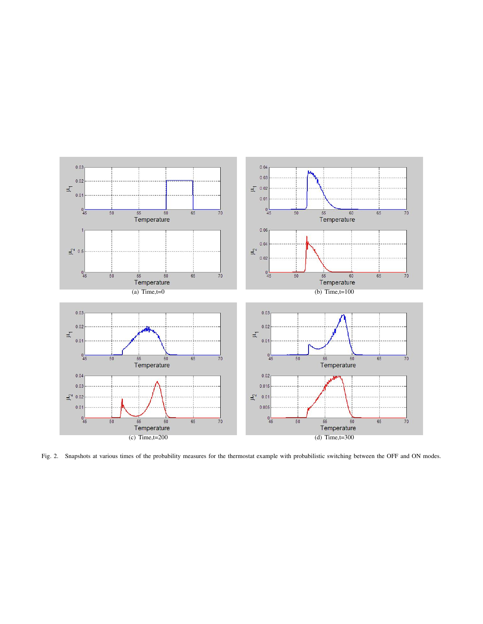

Fig. 2. Snapshots at various times of the probability measures for the thermostat example with probabilistic switching between the OFF and ON modes.